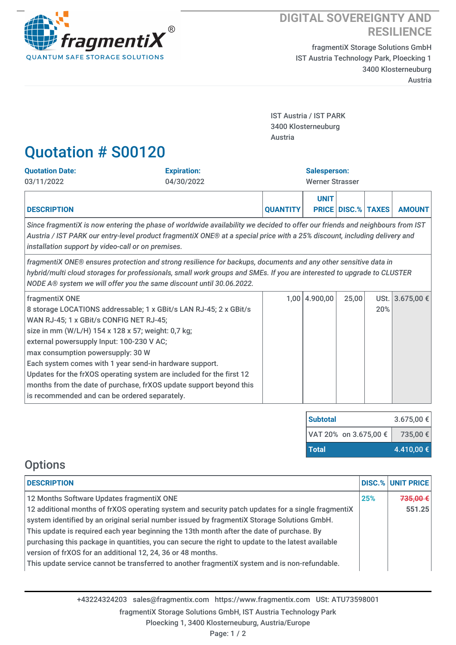

## **DIGITAL SOVEREIGNTY AND RESILIENCE**

fragmentiX Storage Solutions GmbH IST Austria Technology Park, Ploecking 1 3400 Klosterneuburg Austria

IST Austria / IST PARK 3400 Klosterneuburg Austria

## Quotation # S00120

| <b>Quotation Date:</b>                                                                                                                                                                                                                                                                                            | <b>Expiration:</b>                                                                                                                                                                                              | <b>Salesperson:</b>    |             |                           |     |                 |  |
|-------------------------------------------------------------------------------------------------------------------------------------------------------------------------------------------------------------------------------------------------------------------------------------------------------------------|-----------------------------------------------------------------------------------------------------------------------------------------------------------------------------------------------------------------|------------------------|-------------|---------------------------|-----|-----------------|--|
| 03/11/2022                                                                                                                                                                                                                                                                                                        | 04/30/2022                                                                                                                                                                                                      | <b>Werner Strasser</b> |             |                           |     |                 |  |
| <b>DESCRIPTION</b>                                                                                                                                                                                                                                                                                                |                                                                                                                                                                                                                 | <b>QUANTITY</b>        | <b>UNIT</b> | <b>PRICE DISC.% TAXES</b> |     | <b>AMOUNT</b>   |  |
| Since fragmentiX is now entering the phase of worldwide availability we decided to offer our friends and neighbours from IST<br>Austria / IST PARK our entry-level product fragmentiX ONE® at a special price with a 25% discount, including delivery and<br>installation support by video-call or on premises.   |                                                                                                                                                                                                                 |                        |             |                           |     |                 |  |
| fragmentiX ONE® ensures protection and strong resilience for backups, documents and any other sensitive data in<br>hybrid/multi cloud storages for professionals, small work groups and SMEs. If you are interested to upgrade to CLUSTER<br>NODE A® system we will offer you the same discount until 30.06.2022. |                                                                                                                                                                                                                 |                        |             |                           |     |                 |  |
| fragmentiX ONE<br>WAN RJ-45; 1 x GBit/s CONFIG NET RJ-45;<br>size in mm (W/L/H) 154 x 128 x 57; weight: 0,7 kg;<br>external powersupply Input: 100-230 V AC;<br>max consumption powersupply: 30 W<br>Each system comes with 1 year send-in hardware support.<br>is recommended and can be ordered separately.     | 8 storage LOCATIONS addressable; 1 x GBit/s LAN RJ-45; 2 x GBit/s<br>Updates for the frXOS operating system are included for the first 12<br>months from the date of purchase, frXOS update support beyond this | 1.00                   | 4.900,00    | 25,00                     | 20% | USt. 3.675,00 € |  |

| <b>Subtotal</b>       | $3.675,00 \in \lvert$ |  |  |
|-----------------------|-----------------------|--|--|
| VAT 20% on 3.675,00 € | 735,00 €              |  |  |
| <b>Total</b>          | 4.410,00 €            |  |  |

## **Options**

| <b>DESCRIPTION</b>                                                                                                                                                                             |     | DISC.% UNIT PRICE |
|------------------------------------------------------------------------------------------------------------------------------------------------------------------------------------------------|-----|-------------------|
| 12 Months Software Updates fragmentiX ONE                                                                                                                                                      | 25% | 735,00 €          |
| 12 additional months of frXOS operating system and security patch updates for a single fragmentiX                                                                                              |     | 551.25            |
| system identified by an original serial number issued by fragmentiX Storage Solutions GmbH.                                                                                                    |     |                   |
| This update is required each year beginning the 13th month after the date of purchase. By<br>purchasing this package in quantities, you can secure the right to update to the latest available |     |                   |
| version of frXOS for an additional 12, 24, 36 or 48 months.                                                                                                                                    |     |                   |
| This update service cannot be transferred to another fragmentiX system and is non-refundable.                                                                                                  |     |                   |